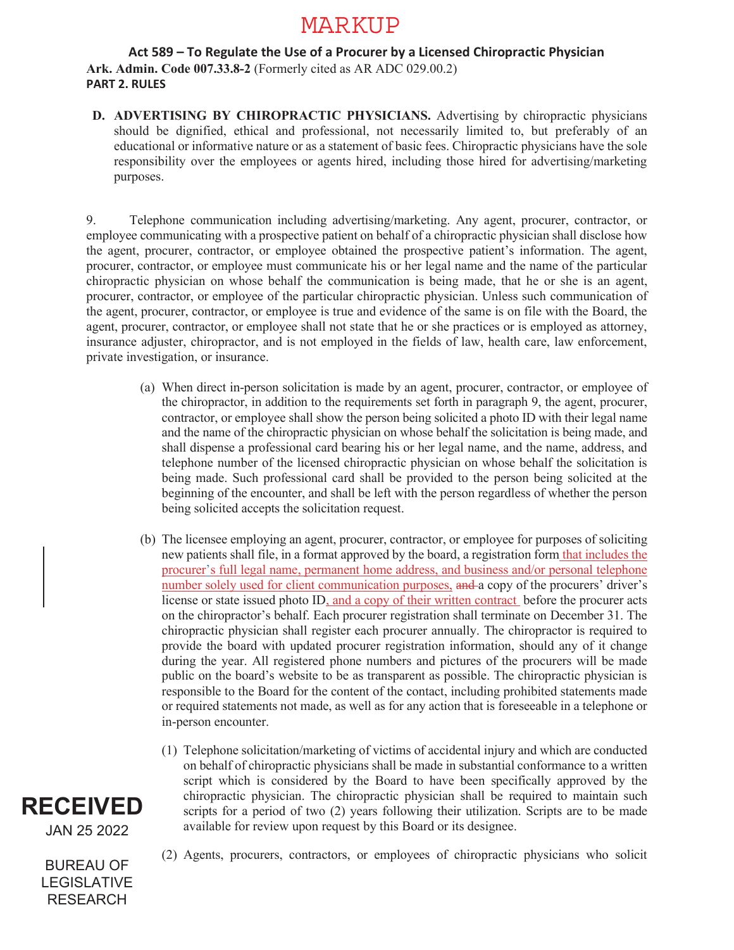## MARKUP

## **Act 589 – To Regulate the Use of a Procurer by a Licensed Chiropractic Physician Ark. Admin. Code 007.33.8-2** (Formerly cited as AR ADC 029.00.2) **PART 2. RULES**

**D. ADVERTISING BY CHIROPRACTIC PHYSICIANS.** Advertising by chiropractic physicians should be dignified, ethical and professional, not necessarily limited to, but preferably of an educational or informative nature or as a statement of basic fees. Chiropractic physicians have the sole responsibility over the employees or agents hired, including those hired for advertising/marketing purposes.

9. Telephone communication including advertising/marketing. Any agent, procurer, contractor, or employee communicating with a prospective patient on behalf of a chiropractic physician shall disclose how the agent, procurer, contractor, or employee obtained the prospective patient's information. The agent, procurer, contractor, or employee must communicate his or her legal name and the name of the particular chiropractic physician on whose behalf the communication is being made, that he or she is an agent, procurer, contractor, or employee of the particular chiropractic physician. Unless such communication of the agent, procurer, contractor, or employee is true and evidence of the same is on file with the Board, the agent, procurer, contractor, or employee shall not state that he or she practices or is employed as attorney, insurance adjuster, chiropractor, and is not employed in the fields of law, health care, law enforcement, private investigation, or insurance.

- (a) When direct in-person solicitation is made by an agent, procurer, contractor, or employee of the chiropractor, in addition to the requirements set forth in paragraph 9, the agent, procurer, contractor, or employee shall show the person being solicited a photo ID with their legal name and the name of the chiropractic physician on whose behalf the solicitation is being made, and shall dispense a professional card bearing his or her legal name, and the name, address, and telephone number of the licensed chiropractic physician on whose behalf the solicitation is being made. Such professional card shall be provided to the person being solicited at the beginning of the encounter, and shall be left with the person regardless of whether the person being solicited accepts the solicitation request.
- (b) The licensee employing an agent, procurer, contractor, or employee for purposes of soliciting new patients shall file, in a format approved by the board, a registration form that includes the procurer's full legal name, permanent home address, and business and/or personal telephone number solely used for client communication purposes, and a copy of the procurers' driver's license or state issued photo ID, and a copy of their written contract before the procurer acts on the chiropractor's behalf. Each procurer registration shall terminate on December 31. The chiropractic physician shall register each procurer annually. The chiropractor is required to provide the board with updated procurer registration information, should any of it change during the year. All registered phone numbers and pictures of the procurers will be made public on the board's website to be as transparent as possible. The chiropractic physician is responsible to the Board for the content of the contact, including prohibited statements made or required statements not made, as well as for any action that is foreseeable in a telephone or in-person encounter.
	- (1) Telephone solicitation/marketing of victims of accidental injury and which are conducted on behalf of chiropractic physicians shall be made in substantial conformance to a written script which is considered by the Board to have been specifically approved by the chiropractic physician. The chiropractic physician shall be required to maintain such scripts for a period of two (2) years following their utilization. Scripts are to be made available for review upon request by this Board or its designee.



BUREAU OF LEGISLATIVE RESEARCH

(2) Agents, procurers, contractors, or employees of chiropractic physicians who solicit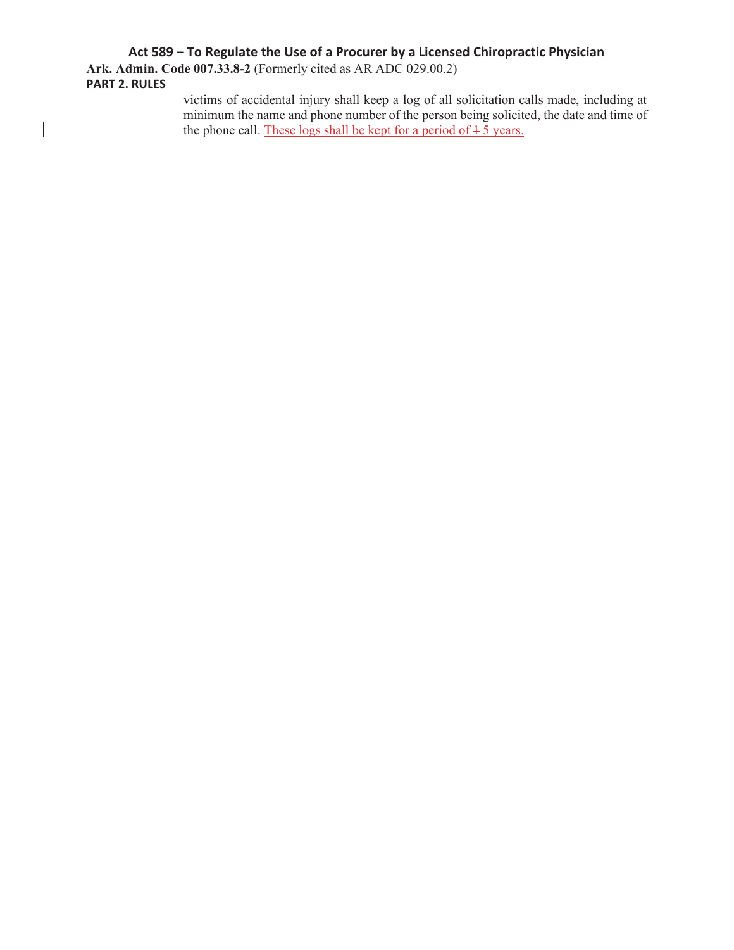## **Act 589 – To Regulate the Use of a Procurer by a Licensed Chiropractic Physician**

**Ark. Admin. Code 007.33.8-2** (Formerly cited as AR ADC 029.00.2) **PART 2. RULES** 

 $\begin{array}{c} \hline \end{array}$ 

victims of accidental injury shall keep a log of all solicitation calls made, including at minimum the name and phone number of the person being solicited, the date and time of the phone call. These logs shall be kept for a period of  $\frac{1}{2}$  years.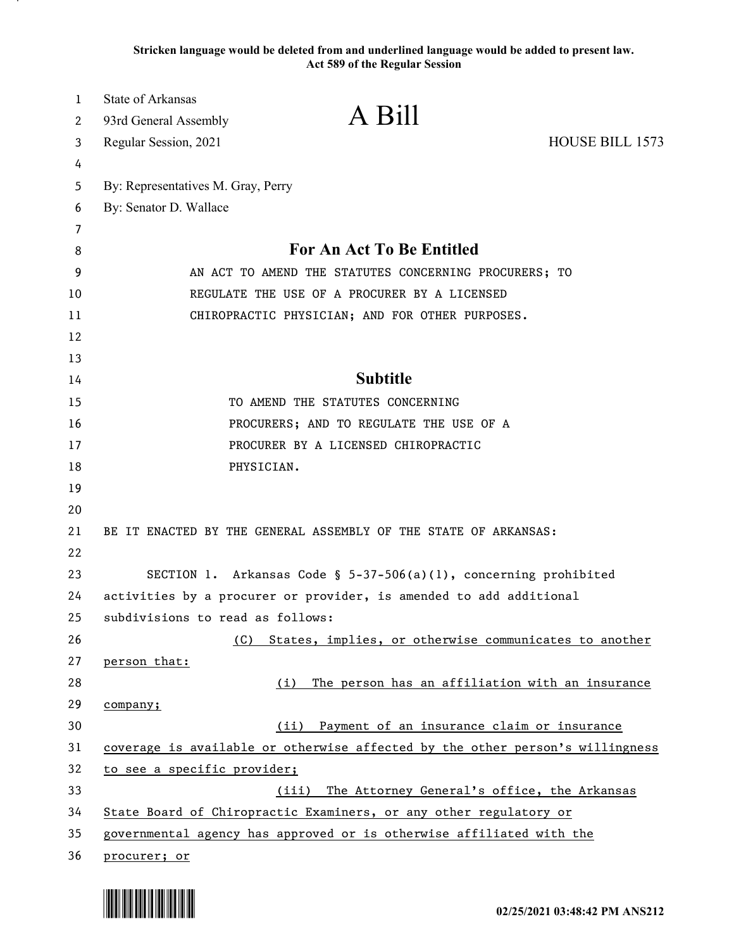**Stricken language would be deleted from and underlined language would be added to present law. Act 589 of the Regular Session**

| $\mathbf{1}$<br>2 | <b>State of Arkansas</b>           | A Bill                                                                        |                 |
|-------------------|------------------------------------|-------------------------------------------------------------------------------|-----------------|
|                   | 93rd General Assembly              |                                                                               | HOUSE BILL 1573 |
| 3                 | Regular Session, 2021              |                                                                               |                 |
| 4<br>5            | By: Representatives M. Gray, Perry |                                                                               |                 |
| 6                 | By: Senator D. Wallace             |                                                                               |                 |
| 7                 |                                    |                                                                               |                 |
| 8                 |                                    | For An Act To Be Entitled                                                     |                 |
| 9                 |                                    | AN ACT TO AMEND THE STATUTES CONCERNING PROCURERS; TO                         |                 |
| 10                |                                    | REGULATE THE USE OF A PROCURER BY A LICENSED                                  |                 |
| 11                |                                    | CHIROPRACTIC PHYSICIAN; AND FOR OTHER PURPOSES.                               |                 |
| 12                |                                    |                                                                               |                 |
| 13                |                                    |                                                                               |                 |
| 14                |                                    | <b>Subtitle</b>                                                               |                 |
| 15                |                                    | TO AMEND THE STATUTES CONCERNING                                              |                 |
| 16                |                                    | PROCURERS; AND TO REGULATE THE USE OF A                                       |                 |
| 17                |                                    | PROCURER BY A LICENSED CHIROPRACTIC                                           |                 |
| 18                |                                    | PHYSICIAN.                                                                    |                 |
| 19                |                                    |                                                                               |                 |
| 20                |                                    |                                                                               |                 |
| 21                |                                    | BE IT ENACTED BY THE GENERAL ASSEMBLY OF THE STATE OF ARKANSAS:               |                 |
| 22                |                                    |                                                                               |                 |
| 23                |                                    | SECTION 1. Arkansas Code § 5-37-506(a)(1), concerning prohibited              |                 |
| 24                |                                    | activities by a procurer or provider, is amended to add additional            |                 |
| 25                | subdivisions to read as follows:   |                                                                               |                 |
| 26                | (C)                                | States, implies, or otherwise communicates to another                         |                 |
| 27                | person that:                       |                                                                               |                 |
| 28                |                                    | The person has an affiliation with an insurance<br>(i)                        |                 |
| 29                | company;                           |                                                                               |                 |
| 30                |                                    | (ii) Payment of an insurance claim or insurance                               |                 |
| 31                |                                    | coverage is available or otherwise affected by the other person's willingness |                 |
| 32                | to see a specific provider;        |                                                                               |                 |
| 33                |                                    | The Attorney General's office, the Arkansas<br>(iii)                          |                 |
| 34                |                                    | State Board of Chiropractic Examiners, or any other regulatory or             |                 |
| 35                |                                    | governmental agency has approved or is otherwise affiliated with the          |                 |
| 36                | procurer; or                       |                                                                               |                 |

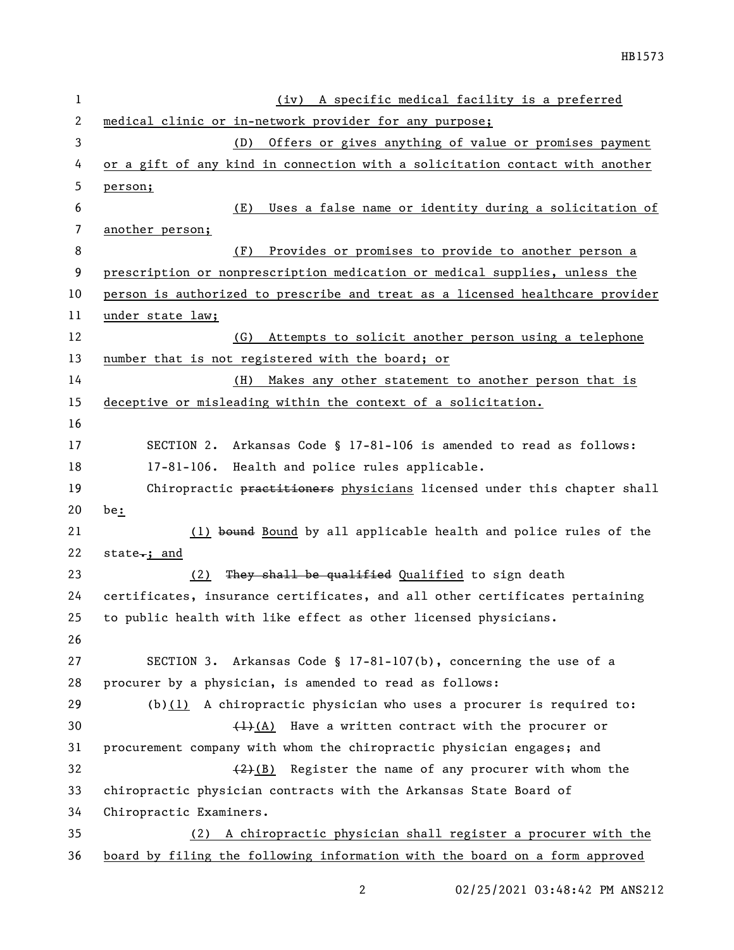| 1  | A specific medical facility is a preferred<br>(iv)                            |
|----|-------------------------------------------------------------------------------|
| 2  | medical clinic or in-network provider for any purpose;                        |
| 3  | (D) Offers or gives anything of value or promises payment                     |
| 4  | or a gift of any kind in connection with a solicitation contact with another  |
| 5  | person;                                                                       |
| 6  | Uses a false name or identity during a solicitation of<br>(E)                 |
| 7  | another person;                                                               |
| 8  | (F)<br>Provides or promises to provide to another person a                    |
| 9  | prescription or nonprescription medication or medical supplies, unless the    |
| 10 | person is authorized to prescribe and treat as a licensed healthcare provider |
| 11 | under state law;                                                              |
| 12 | Attempts to solicit another person using a telephone<br>(G)                   |
| 13 | number that is not registered with the board; or                              |
| 14 | Makes any other statement to another person that is<br>(H)                    |
| 15 | deceptive or misleading within the context of a solicitation.                 |
| 16 |                                                                               |
| 17 | SECTION 2. Arkansas Code § 17-81-106 is amended to read as follows:           |
| 18 | 17-81-106. Health and police rules applicable.                                |
| 19 | Chiropractic practitioners physicians licensed under this chapter shall       |
| 20 | be:                                                                           |
| 21 | (1) bound Bound by all applicable health and police rules of the              |
| 22 | state <sub><math>\cdot</math></sub> ; and                                     |
| 23 | They shall be qualified Qualified to sign death<br>(2)                        |
| 24 | certificates, insurance certificates, and all other certificates pertaining   |
| 25 | to public health with like effect as other licensed physicians.               |
| 26 |                                                                               |
| 27 | SECTION 3. Arkansas Code § 17-81-107(b), concerning the use of a              |
| 28 | procurer by a physician, is amended to read as follows:                       |
| 29 | (b) $(1)$ A chiropractic physician who uses a procurer is required to:        |
| 30 | $\frac{(1)(A)}{(A)}$ Have a written contract with the procurer or             |
| 31 | procurement company with whom the chiropractic physician engages; and         |
| 32 | $(2)(B)$ Register the name of any procurer with whom the                      |
| 33 | chiropractic physician contracts with the Arkansas State Board of             |
| 34 | Chiropractic Examiners.                                                       |
| 35 | A chiropractic physician shall register a procurer with the<br>(2)            |
| 36 | board by filing the following information with the board on a form approved   |

02/25/2021 03:48:42 PM ANS212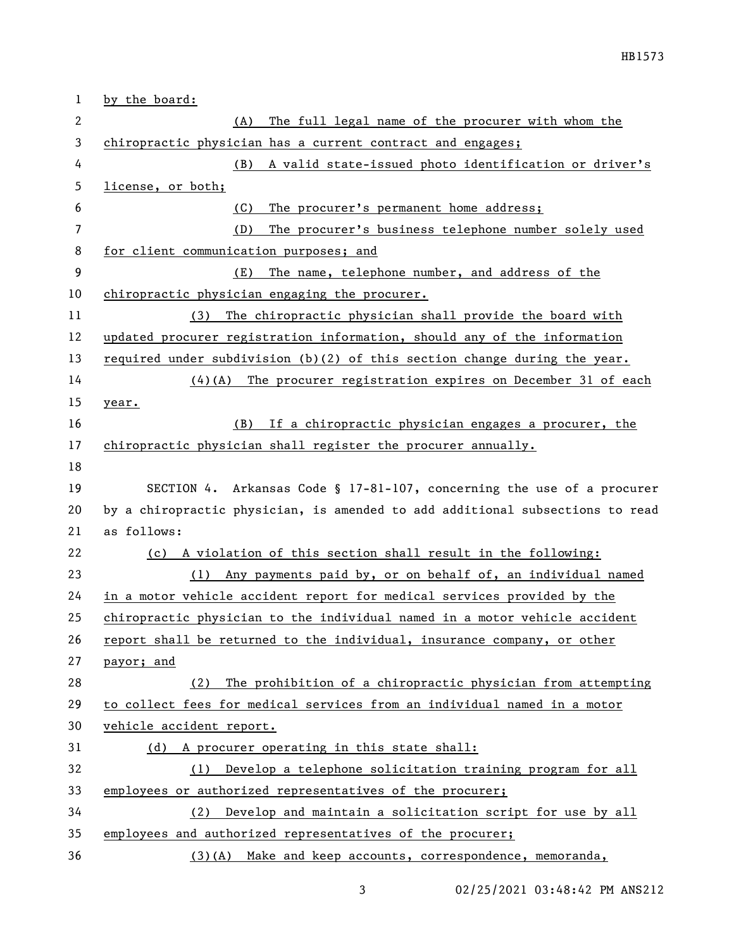| $\mathbf 1$    | by the board:                                                                 |  |
|----------------|-------------------------------------------------------------------------------|--|
| 2              | The full legal name of the procurer with whom the<br>(A)                      |  |
| 3              | chiropractic physician has a current contract and engages;                    |  |
| 4              | A valid state-issued photo identification or driver's<br>(B)                  |  |
| 5              | license, or both;                                                             |  |
| 6              | The procurer's permanent home address;<br>(C)                                 |  |
| $\overline{7}$ | The procurer's business telephone number solely used<br>(D)                   |  |
| 8              | for client communication purposes; and                                        |  |
| 9              | The name, telephone number, and address of the<br>(E)                         |  |
| 10             | chiropractic physician engaging the procurer.                                 |  |
| 11             | (3) The chiropractic physician shall provide the board with                   |  |
| 12             | updated procurer registration information, should any of the information      |  |
| 13             | required under subdivision $(b)(2)$ of this section change during the year.   |  |
| 14             | $(4)$ (A) The procurer registration expires on December 31 of each            |  |
| 15             | year.                                                                         |  |
| 16             | (B) If a chiropractic physician engages a procurer, the                       |  |
| 17             | chiropractic physician shall register the procurer annually.                  |  |
| 18             |                                                                               |  |
| 19             | SECTION 4. Arkansas Code § 17-81-107, concerning the use of a procurer        |  |
| 20             | by a chiropractic physician, is amended to add additional subsections to read |  |
| 21             | as follows:                                                                   |  |
| 22             | (c) A violation of this section shall result in the following:                |  |
| 23             | (1) Any payments paid by, or on behalf of, an individual named                |  |
| 24             | in a motor vehicle accident report for medical services provided by the       |  |
| 25             | chiropractic physician to the individual named in a motor vehicle accident    |  |
| 26             | report shall be returned to the individual, insurance company, or other       |  |
| 27             | payor; and                                                                    |  |
| 28             | (2) The prohibition of a chiropractic physician from attempting               |  |
| 29             | to collect fees for medical services from an individual named in a motor      |  |
| 30             | vehicle accident report.                                                      |  |
| 31             | (d) A procurer operating in this state shall:                                 |  |
| 32             | Develop a telephone solicitation training program for all<br>(1)              |  |
| 33             | employees or authorized representatives of the procurer;                      |  |
| 34             | (2) Develop and maintain a solicitation script for use by all                 |  |
| 35             | employees and authorized representatives of the procurer;                     |  |
| 36             | (3)(A) Make and keep accounts, correspondence, memoranda,                     |  |

3 02/25/2021 03:48:42 PM ANS212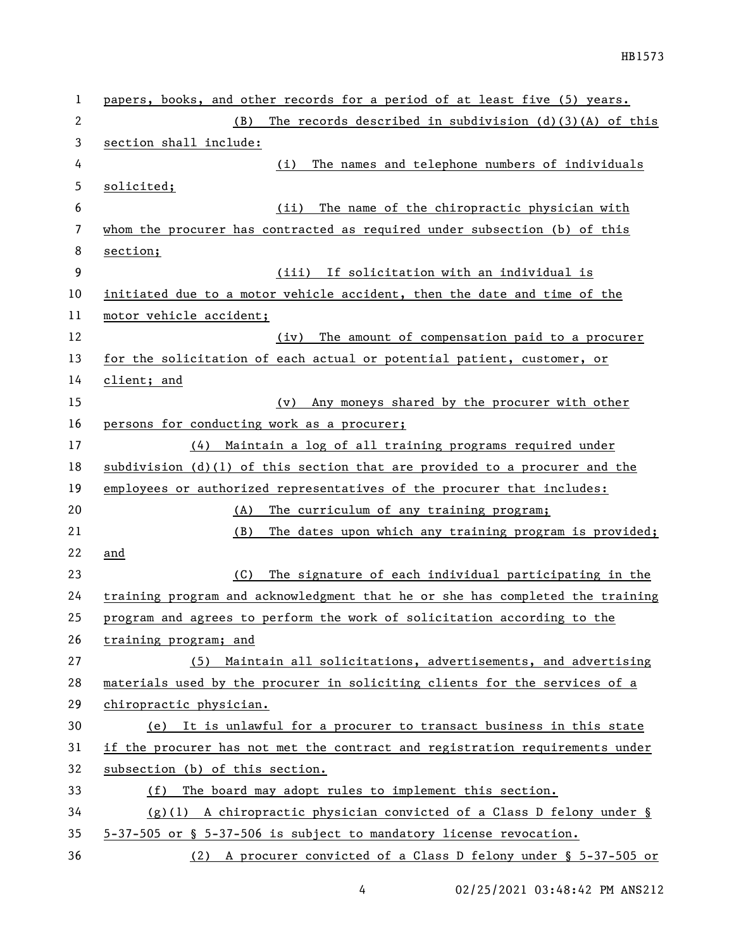| 1  | papers, books, and other records for a period of at least five (5) years.     |
|----|-------------------------------------------------------------------------------|
| 2  | The records described in subdivision $(d)(3)(A)$ of this<br>(B)               |
| 3  | section shall include:                                                        |
| 4  | The names and telephone numbers of individuals<br>(i)                         |
| 5  | solicited;                                                                    |
| 6  | The name of the chiropractic physician with<br>(ii)                           |
| 7  | whom the procurer has contracted as required under subsection (b) of this     |
| 8  | section;                                                                      |
| 9  | (iii) If solicitation with an individual is                                   |
| 10 | initiated due to a motor vehicle accident, then the date and time of the      |
| 11 | motor vehicle accident;                                                       |
| 12 | The amount of compensation paid to a procurer<br>(iv)                         |
| 13 | for the solicitation of each actual or potential patient, customer, or        |
| 14 | client; and                                                                   |
| 15 | Any moneys shared by the procurer with other<br>(v)                           |
| 16 | persons for conducting work as a procurer;                                    |
| 17 | Maintain a log of all training programs required under<br>(4)                 |
| 18 | subdivision $(d)(1)$ of this section that are provided to a procurer and the  |
| 19 | employees or authorized representatives of the procurer that includes:        |
| 20 | The curriculum of any training program;<br>(A)                                |
| 21 | (B)<br>The dates upon which any training program is provided;                 |
| 22 | and                                                                           |
| 23 | The signature of each individual participating in the<br>(C)                  |
| 24 | training program and acknowledgment that he or she has completed the training |
| 25 | program and agrees to perform the work of solicitation according to the       |
| 26 | training program; and                                                         |
| 27 | Maintain all solicitations, advertisements, and advertising<br>(5)            |
| 28 | materials used by the procurer in soliciting clients for the services of a    |
| 29 | chiropractic physician.                                                       |
| 30 | (e) It is unlawful for a procurer to transact business in this state          |
| 31 | if the procurer has not met the contract and registration requirements under  |
| 32 | subsection (b) of this section.                                               |
| 33 | The board may adopt rules to implement this section.<br>(f)                   |
| 34 | $(g)(1)$ A chiropractic physician convicted of a Class D felony under §       |
| 35 | 5-37-505 or § 5-37-506 is subject to mandatory license revocation.            |
| 36 | (2) A procurer convicted of a Class D felony under § 5-37-505 or              |

4 02/25/2021 03:48:42 PM ANS212